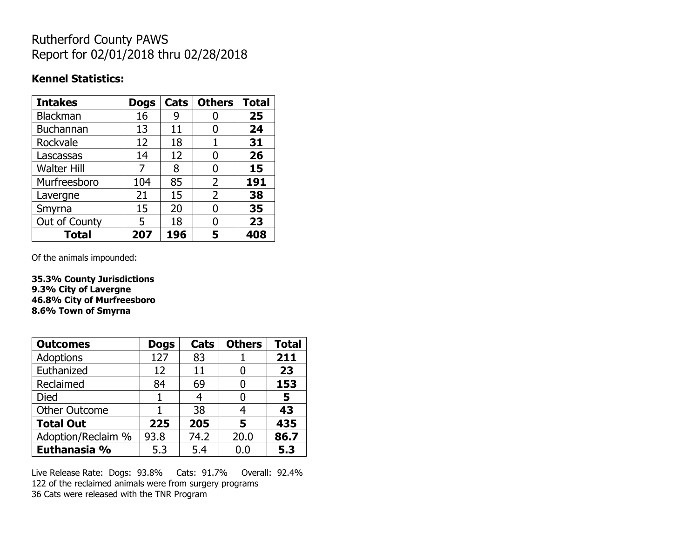## Rutherford County PAWS Report for 02/01/2018 thru 02/28/2018

### **Kennel Statistics:**

| <b>Intakes</b>     | <b>Dogs</b> | Cats | <b>Others</b>  | <b>Total</b> |
|--------------------|-------------|------|----------------|--------------|
| <b>Blackman</b>    | 16          | 9    |                | 25           |
| <b>Buchannan</b>   | 13          | 11   | O              | 24           |
| Rockvale           | 12          | 18   | 1              | 31           |
| Lascassas          | 14          | 12   | 0              | 26           |
| <b>Walter Hill</b> | 7           | 8    | O              | 15           |
| Murfreesboro       | 104         | 85   | $\overline{2}$ | 191          |
| Lavergne           | 21          | 15   | $\overline{2}$ | 38           |
| Smyrna             | 15          | 20   | N              | 35           |
| Out of County      | 5           | 18   | O              | 23           |
| <b>Total</b>       | 207         | 196  | 5              | 408          |

Of the animals impounded:

**35.3% County Jurisdictions 9.3% City of Lavergne 46.8% City of Murfreesboro 8.6% Town of Smyrna**

| <b>Outcomes</b>      | <b>Dogs</b> | Cats | <b>Others</b> | <b>Total</b> |
|----------------------|-------------|------|---------------|--------------|
| Adoptions            | 127         | 83   |               | 211          |
| Euthanized           | 12          | 11   |               | 23           |
| Reclaimed            | 84          | 69   |               | 153          |
| Died                 |             |      |               | 5            |
| <b>Other Outcome</b> |             | 38   |               | 43           |
| <b>Total Out</b>     | 225         | 205  | 5             | 435          |
| Adoption/Reclaim %   | 93.8        | 74.2 | 20.0          | 86.7         |
| Euthanasia %         | 5.3         | 5.4  | 0.0           | 5.3          |

Live Release Rate: Dogs: 93.8% Cats: 91.7% Overall: 92.4% 122 of the reclaimed animals were from surgery programs 36 Cats were released with the TNR Program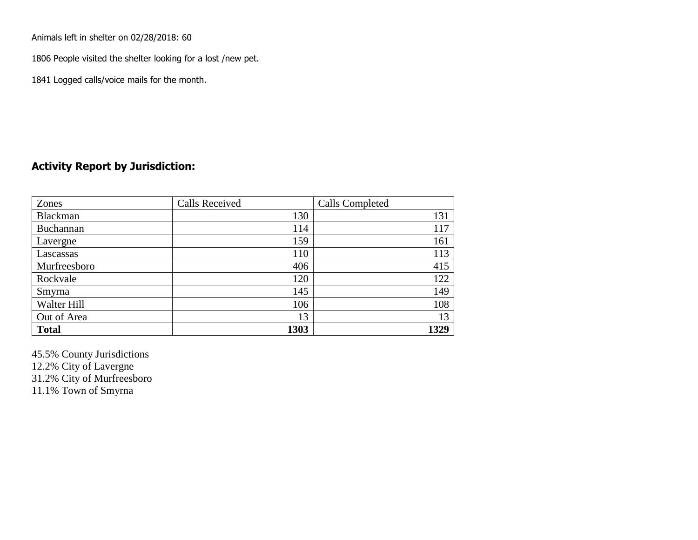Animals left in shelter on 02/28/2018: 60

1806 People visited the shelter looking for a lost /new pet.

1841 Logged calls/voice mails for the month.

### **Activity Report by Jurisdiction:**

| Zones        | <b>Calls Received</b> | Calls Completed |
|--------------|-----------------------|-----------------|
| Blackman     | 130                   | 131             |
| Buchannan    | 114                   | 117             |
| Lavergne     | 159                   | 161             |
| Lascassas    | 110                   | 113             |
| Murfreesboro | 406                   | 415             |
| Rockvale     | 120                   | 122             |
| Smyrna       | 145                   | 149             |
| Walter Hill  | 106                   | 108             |
| Out of Area  | 13                    | 13              |
| <b>Total</b> | 1303                  | 1329            |

45.5% County Jurisdictions 12.2% City of Lavergne 31.2% City of Murfreesboro 11.1% Town of Smyrna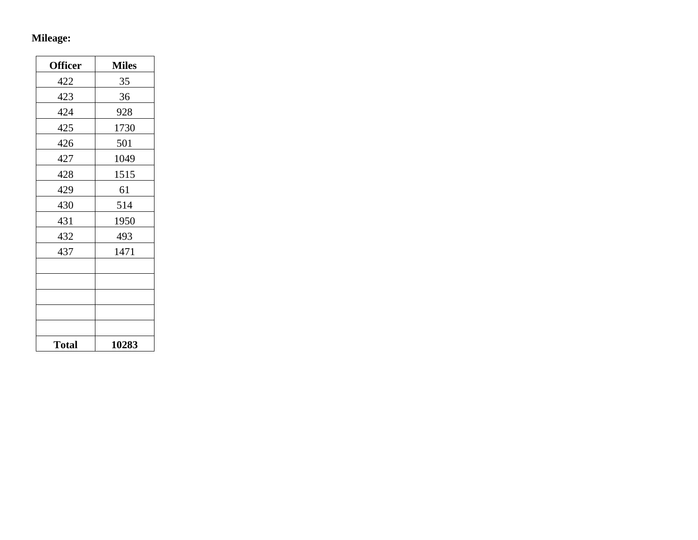## **Mileage:**

| <b>Officer</b> | <b>Miles</b> |
|----------------|--------------|
| 422            | 35           |
| 423            | 36           |
| 424            | 928          |
| 425            | 1730         |
| 426            | 501          |
| 427            | 1049         |
| 428            | 1515         |
| 429            | 61           |
| 430            | 514          |
| 431            | 1950         |
| 432            | 493          |
| 437            | 1471         |
|                |              |
|                |              |
|                |              |
|                |              |
|                |              |
| <b>Total</b>   | 10283        |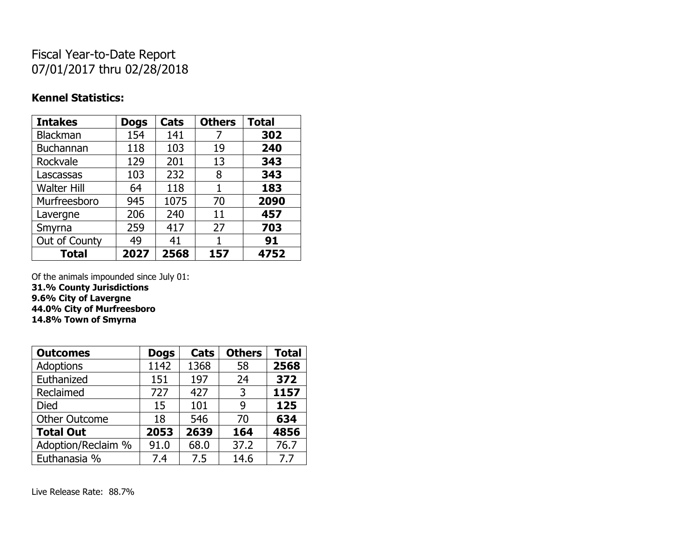# Fiscal Year-to-Date Report 07/01/2017 thru 02/28/2018

### **Kennel Statistics:**

| <b>Intakes</b>     | <b>Dogs</b> | Cats | <b>Others</b> | <b>Total</b> |
|--------------------|-------------|------|---------------|--------------|
| <b>Blackman</b>    | 154         | 141  | 7             | 302          |
| <b>Buchannan</b>   | 118         | 103  | 19            | 240          |
| Rockvale           | 129         | 201  | 13            | 343          |
| Lascassas          | 103         | 232  | 8             | 343          |
| <b>Walter Hill</b> | 64          | 118  | 1             | 183          |
| Murfreesboro       | 945         | 1075 | 70            | 2090         |
| Lavergne           | 206         | 240  | 11            | 457          |
| Smyrna             | 259         | 417  | 27            | 703          |
| Out of County      | 49          | 41   | 1             | 91           |
| <b>Total</b>       | 2027        | 2568 | 157           | 4752         |

Of the animals impounded since July 01:

**31.% County Jurisdictions 9.6% City of Lavergne 44.0% City of Murfreesboro**

**14.8% Town of Smyrna**

| <b>Outcomes</b>      | <b>Dogs</b> | Cats | <b>Others</b> | <b>Total</b> |
|----------------------|-------------|------|---------------|--------------|
| <b>Adoptions</b>     | 1142        | 1368 | 58            | 2568         |
| Euthanized           | 151         | 197  | 24            | 372          |
| Reclaimed            | 727         | 427  | 3             | 1157         |
| Died                 | 15          | 101  | 9             | 125          |
| <b>Other Outcome</b> | 18          | 546  | 70            | 634          |
| <b>Total Out</b>     | 2053        | 2639 | 164           | 4856         |
| Adoption/Reclaim %   | 91.0        | 68.0 | 37.2          | 76.7         |
| Euthanasia %         | 7.4         | 7.5  | 14.6          | 7.7          |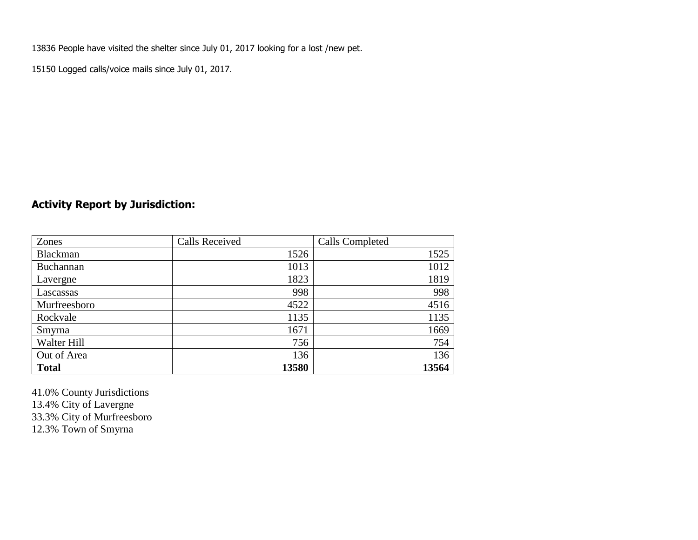13836 People have visited the shelter since July 01, 2017 looking for a lost /new pet.

15150 Logged calls/voice mails since July 01, 2017.

## **Activity Report by Jurisdiction:**

| Zones           | <b>Calls Received</b> | Calls Completed |
|-----------------|-----------------------|-----------------|
| <b>Blackman</b> | 1526                  | 1525            |
| Buchannan       | 1013                  | 1012            |
| Lavergne        | 1823                  | 1819            |
| Lascassas       | 998                   | 998             |
| Murfreesboro    | 4522                  | 4516            |
| Rockvale        | 1135                  | 1135            |
| Smyrna          | 1671                  | 1669            |
| Walter Hill     | 756                   | 754             |
| Out of Area     | 136                   | 136             |
| <b>Total</b>    | 13580                 | 13564           |

41.0% County Jurisdictions 13.4% City of Lavergne 33.3% City of Murfreesboro 12.3% Town of Smyrna